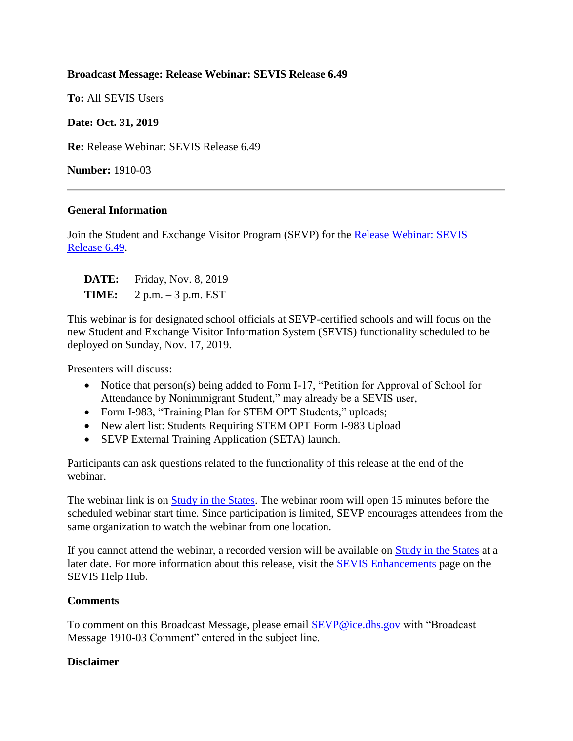# **Broadcast Message: Release Webinar: SEVIS Release 6.49**

**To:** All SEVIS Users

# **Date: Oct. 31, 2019**

**Re:** Release Webinar: SEVIS Release 6.49

**Number:** 1910-03

### **General Information**

Join the Student and Exchange Visitor Program (SEVP) for the Release Webinar: SEVIS [Release 6.49.](https://studyinthestates.dhs.gov/sevis-help-hub/learn-more/webinars/332066)

| <b>DATE:</b> | Friday, Nov. 8, 2019  |
|--------------|-----------------------|
| <b>TIME:</b> | $2 p.m. - 3 p.m. EST$ |

This webinar is for designated school officials at SEVP-certified schools and will focus on the new Student and Exchange Visitor Information System (SEVIS) functionality scheduled to be deployed on Sunday, Nov. 17, 2019.

Presenters will discuss:

- Notice that person(s) being added to Form I-17, "Petition for Approval of School for Attendance by Nonimmigrant Student," may already be a SEVIS user,
- Form I-983, "Training Plan for STEM OPT Students," uploads;
- New alert list: Students Requiring STEM OPT Form I-983 Upload
- SEVP External Training Application (SETA) launch.

Participants can ask questions related to the functionality of this release at the end of the webinar.

The webinar link is on [Study in the States.](http://studyinthestates.dhs.gov/sevis-help-hub/learn-more/webinars) The webinar room will open 15 minutes before the scheduled webinar start time. Since participation is limited, SEVP encourages attendees from the same organization to watch the webinar from one location.

If you cannot attend the webinar, a recorded version will be available on **Study** in the States at a later date. For more information about this release, visit the [SEVIS Enhancements](https://studyinthestates.dhs.gov/sevis-help-hub/learn-more/sevis-enhancements) page on the SEVIS Help Hub.

### **Comments**

To comment on this Broadcast Message, please email SEVP@ice.dhs.gov with "Broadcast Message 1910-03 Comment" entered in the subject line.

### **Disclaimer**